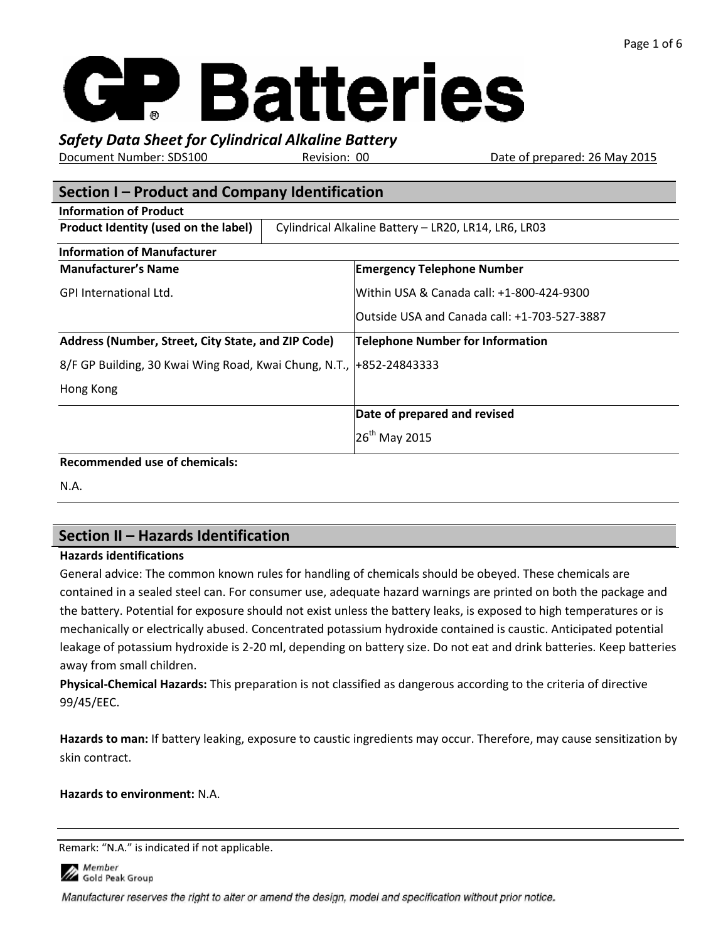# **GP Batteries**

# *Safety Data Sheet for Cylindrical Alkaline Battery*

Document Number: SDS100 Revision: 00 Date of prepared: 26 May 2015

| Section I – Product and Company Identification                       |  |                                                      |  |  |  |  |
|----------------------------------------------------------------------|--|------------------------------------------------------|--|--|--|--|
| <b>Information of Product</b>                                        |  |                                                      |  |  |  |  |
| Product Identity (used on the label)                                 |  | Cylindrical Alkaline Battery - LR20, LR14, LR6, LR03 |  |  |  |  |
| <b>Information of Manufacturer</b>                                   |  |                                                      |  |  |  |  |
| <b>Manufacturer's Name</b>                                           |  | <b>Emergency Telephone Number</b>                    |  |  |  |  |
| <b>GPI International Ltd.</b>                                        |  | Within USA & Canada call: +1-800-424-9300            |  |  |  |  |
|                                                                      |  | Outside USA and Canada call: +1-703-527-3887         |  |  |  |  |
| Address (Number, Street, City State, and ZIP Code)                   |  | Telephone Number for Information                     |  |  |  |  |
| 8/F GP Building, 30 Kwai Wing Road, Kwai Chung, N.T.,  +852-24843333 |  |                                                      |  |  |  |  |
| Hong Kong                                                            |  |                                                      |  |  |  |  |
|                                                                      |  | Date of prepared and revised                         |  |  |  |  |
|                                                                      |  | $26^{th}$ May 2015                                   |  |  |  |  |
| December and ad use of chamicals:                                    |  |                                                      |  |  |  |  |

#### **Recommended use of chemicals:**

N.A.

# **Section II – Hazards Identification**

#### **Hazards identifications**

General advice: The common known rules for handling of chemicals should be obeyed. These chemicals are contained in a sealed steel can. For consumer use, adequate hazard warnings are printed on both the package and the battery. Potential for exposure should not exist unless the battery leaks, is exposed to high temperatures or is mechanically or electrically abused. Concentrated potassium hydroxide contained is caustic. Anticipated potential leakage of potassium hydroxide is 2-20 ml, depending on battery size. Do not eat and drink batteries. Keep batteries away from small children.

**Physical-Chemical Hazards:** This preparation is not classified as dangerous according to the criteria of directive 99/45/EEC.

**Hazards to man:** If battery leaking, exposure to caustic ingredients may occur. Therefore, may cause sensitization by skin contract.

#### **Hazards to environment:** N.A.

Remark: "N.A." is indicated if not applicable.

Member Gold Peak Group

Manufacturer reserves the right to alter or amend the design, model and specification without prior notice.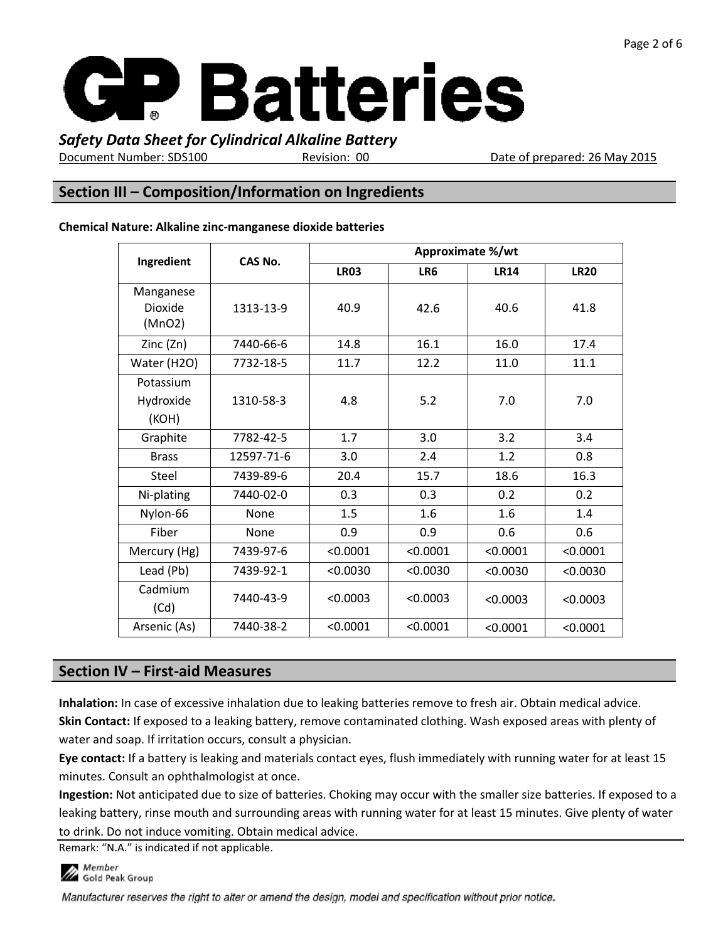

Document Number: SDS100 Revision: 00 Date of prepared: 26 May 2015

### **Section III – Composition/Information on Ingredients**

| Ingredient                            | CAS No.    | Approximate %/wt |          |             |             |  |
|---------------------------------------|------------|------------------|----------|-------------|-------------|--|
|                                       |            | <b>LR03</b>      | LR6      | <b>LR14</b> | <b>LR20</b> |  |
| Manganese<br><b>Dioxide</b><br>(MnO2) | 1313-13-9  | 40.9             | 42.6     | 40.6        | 41.8        |  |
| Zinc $(2n)$                           | 7440-66-6  | 14.8             | 16.1     | 16.0        | 17.4        |  |
| Water (H2O)                           | 7732-18-5  | 11.7             | 12.2     | 11.0        | 11.1        |  |
| Potassium<br>Hydroxide<br>(KOH)       | 1310-58-3  | 4.8              | 5.2      | 7.0         | 7.0         |  |
| Graphite                              | 7782-42-5  | 1.7              | 3.0      | 3.2         | 3.4         |  |
| <b>Brass</b>                          | 12597-71-6 | 3.0              | 2.4      | 1.2         | 0.8         |  |
| <b>Steel</b>                          | 7439-89-6  | 20.4             | 15.7     | 18.6        | 16.3        |  |
| Ni-plating                            | 7440-02-0  | 0.3              | 0.3      | 0.2         | 0.2         |  |
| Nylon-66                              | None       | 1.5              | 1.6      | 1.6         | 1.4         |  |
| Fiber                                 | None       | 0.9              | 0.9      | 0.6         | 0.6         |  |
| Mercury (Hg)                          | 7439-97-6  | < 0.0001         | < 0.0001 | < 0.0001    | < 0.0001    |  |
| Lead (Pb)                             | 7439-92-1  | < 0.0030         | < 0.0030 | < 0.0030    | < 0.0030    |  |
| Cadmium<br>(Cd)                       | 7440-43-9  | < 0.0003         | < 0.0003 | < 0.0003    | < 0.0003    |  |
| Arsenic (As)                          | 7440-38-2  | < 0.0001         | < 0.0001 | < 0.0001    | < 0.0001    |  |

#### **Chemical Nature: Alkaline zinc-manganese dioxide batteries**

## **Section IV – First-aid Measures**

**Inhalation:** In case of excessive inhalation due to leaking batteries remove to fresh air. Obtain medical advice. **Skin Contact:** If exposed to a leaking battery, remove contaminated clothing. Wash exposed areas with plenty of water and soap. If irritation occurs, consult a physician.

**Eye contact:** If a battery is leaking and materials contact eyes, flush immediately with running water for at least 15 minutes. Consult an ophthalmologist at once.

**Ingestion:** Not anticipated due to size of batteries. Choking may occur with the smaller size batteries. If exposed to a leaking battery, rinse mouth and surrounding areas with running water for at least 15 minutes. Give plenty of water to drink. Do not induce vomiting. Obtain medical advice.

Remark: "N.A." is indicated if not applicable.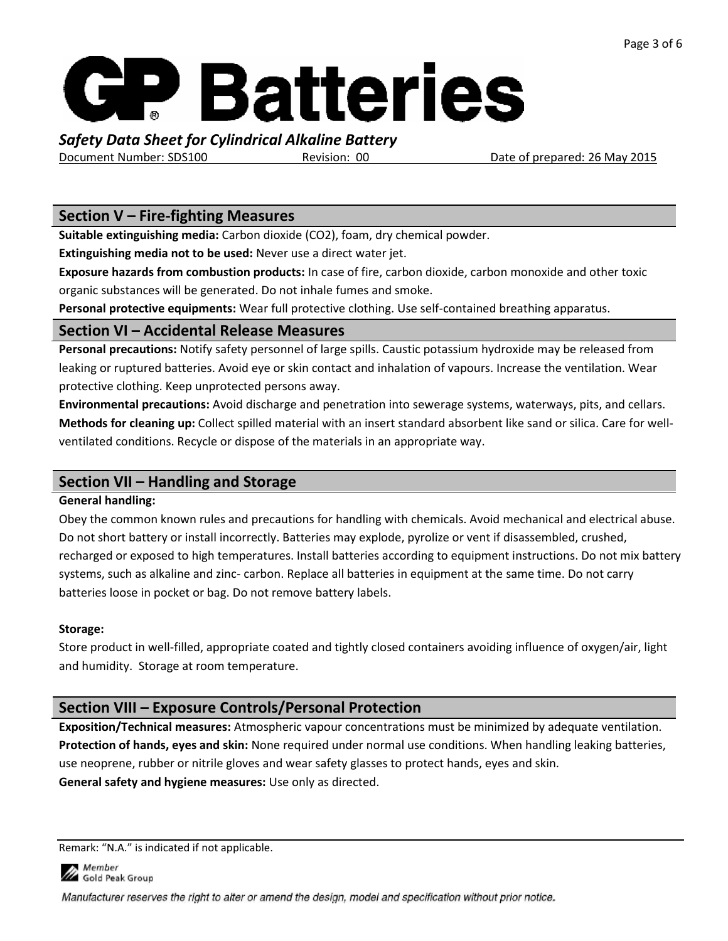

Document Number: SDS100 Revision: 00 Date of prepared: 26 May 2015

### **Section V – Fire-fighting Measures**

**Suitable extinguishing media:** Carbon dioxide (CO2), foam, dry chemical powder.

**Extinguishing media not to be used:** Never use a direct water jet.

**Exposure hazards from combustion products:** In case of fire, carbon dioxide, carbon monoxide and other toxic organic substances will be generated. Do not inhale fumes and smoke.

**Personal protective equipments:** Wear full protective clothing. Use self-contained breathing apparatus.

## **Section VI – Accidental Release Measures**

**Personal precautions:** Notify safety personnel of large spills. Caustic potassium hydroxide may be released from leaking or ruptured batteries. Avoid eye or skin contact and inhalation of vapours. Increase the ventilation. Wear protective clothing. Keep unprotected persons away.

**Environmental precautions:** Avoid discharge and penetration into sewerage systems, waterways, pits, and cellars. **Methods for cleaning up:** Collect spilled material with an insert standard absorbent like sand or silica. Care for wellventilated conditions. Recycle or dispose of the materials in an appropriate way.

## **Section VII – Handling and Storage**

## **General handling:**

Obey the common known rules and precautions for handling with chemicals. Avoid mechanical and electrical abuse. Do not short battery or install incorrectly. Batteries may explode, pyrolize or vent if disassembled, crushed, recharged or exposed to high temperatures. Install batteries according to equipment instructions. Do not mix battery systems, such as alkaline and zinc- carbon. Replace all batteries in equipment at the same time. Do not carry batteries loose in pocket or bag. Do not remove battery labels.

## **Storage:**

Store product in well-filled, appropriate coated and tightly closed containers avoiding influence of oxygen/air, light and humidity. Storage at room temperature.

## **Section VIII – Exposure Controls/Personal Protection**

**Exposition/Technical measures:** Atmospheric vapour concentrations must be minimized by adequate ventilation. **Protection of hands, eyes and skin:** None required under normal use conditions. When handling leaking batteries, use neoprene, rubber or nitrile gloves and wear safety glasses to protect hands, eyes and skin. **General safety and hygiene measures:** Use only as directed.

Remark: "N.A." is indicated if not applicable.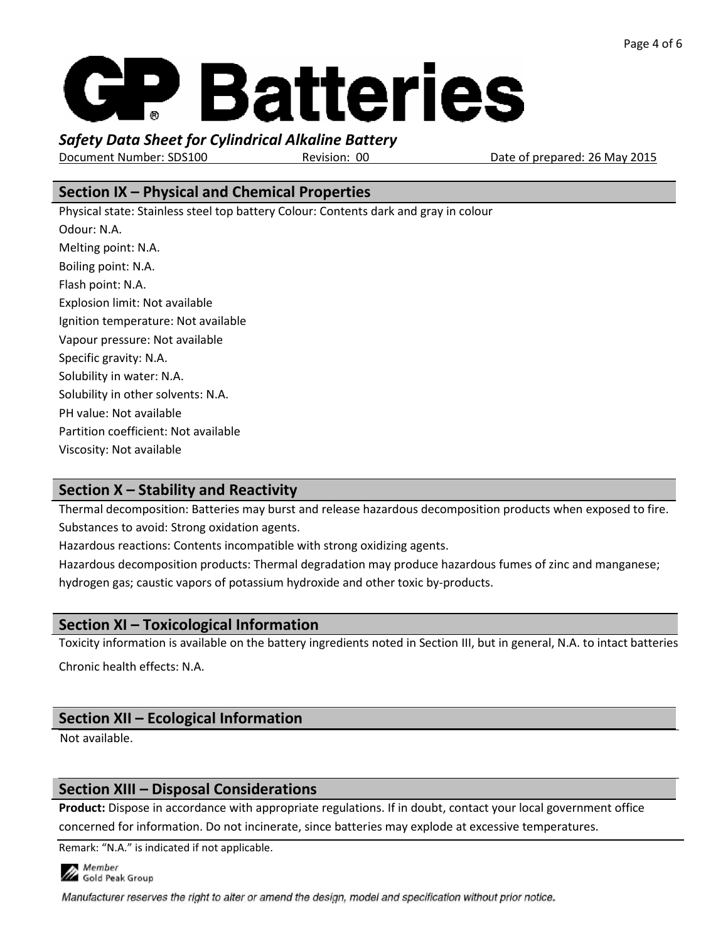# **GP Batteries**

*Safety Data Sheet for Cylindrical Alkaline Battery*

Document Number: SDS100 Revision: 00 Date of prepared: 26 May 2015

## **Section IX – Physical and Chemical Properties**

Physical state: Stainless steel top battery Colour: Contents dark and gray in colour Odour: N.A. Melting point: N.A. Boiling point: N.A. Flash point: N.A. Explosion limit: Not available Ignition temperature: Not available Vapour pressure: Not available Specific gravity: N.A. Solubility in water: N.A. Solubility in other solvents: N.A. PH value: Not available Partition coefficient: Not available Viscosity: Not available

# **Section X – Stability and Reactivity**

Thermal decomposition: Batteries may burst and release hazardous decomposition products when exposed to fire. Substances to avoid: Strong oxidation agents.

Hazardous reactions: Contents incompatible with strong oxidizing agents.

Hazardous decomposition products: Thermal degradation may produce hazardous fumes of zinc and manganese; hydrogen gas; caustic vapors of potassium hydroxide and other toxic by-products.

## **Section XI – Toxicological Information**

Toxicity information is available on the battery ingredients noted in Section III, but in general, N.A. to intact batteries

Chronic health effects: N.A.

# **Section XII – Ecological Information**

Not available.

## **Section XIII – Disposal Considerations**

**Product:** Dispose in accordance with appropriate regulations. If in doubt, contact your local government office concerned for information. Do not incinerate, since batteries may explode at excessive temperatures.

Remark: "N.A." is indicated if not applicable.



Manufacturer reserves the right to alter or amend the design, model and specification without prior notice.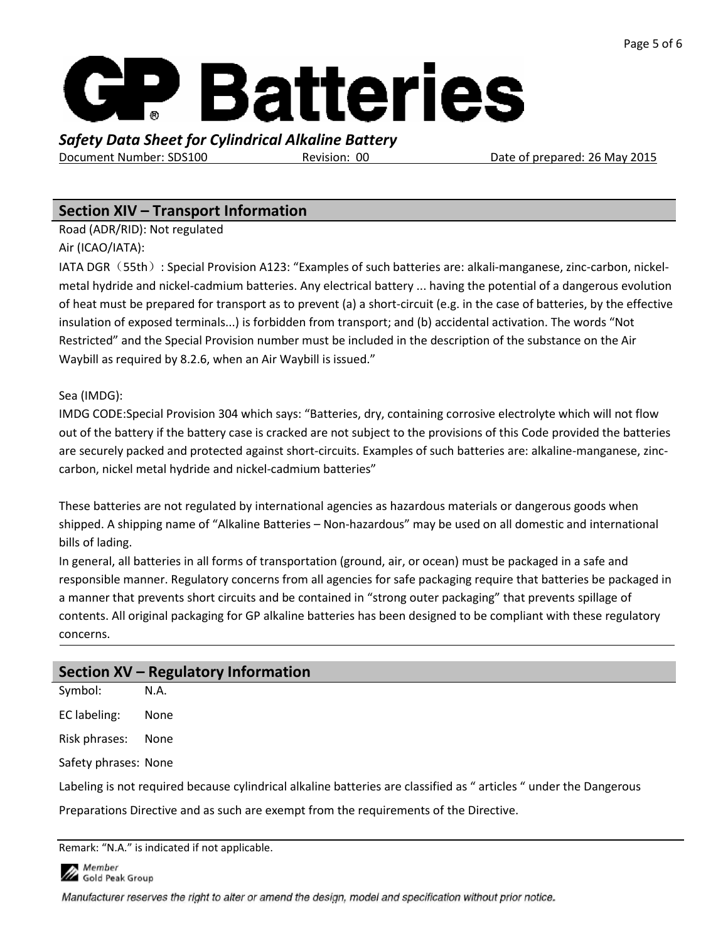

Document Number: SDS100 Revision: 00 Date of prepared: 26 May 2015

## **Section XIV – Transport Information**

Road (ADR/RID): Not regulated

Air (ICAO/IATA):

IATA DGR (55th): Special Provision A123: "Examples of such batteries are: alkali-manganese, zinc-carbon, nickelmetal hydride and nickel-cadmium batteries. Any electrical battery ... having the potential of a dangerous evolution of heat must be prepared for transport as to prevent (a) a short-circuit (e.g. in the case of batteries, by the effective insulation of exposed terminals...) is forbidden from transport; and (b) accidental activation. The words "Not Restricted" and the Special Provision number must be included in the description of the substance on the Air Waybill as required by 8.2.6, when an Air Waybill is issued."

#### Sea (IMDG):

IMDG CODE:Special Provision 304 which says: "Batteries, dry, containing corrosive electrolyte which will not flow out of the battery if the battery case is cracked are not subject to the provisions of this Code provided the batteries are securely packed and protected against short-circuits. Examples of such batteries are: alkaline-manganese, zinccarbon, nickel metal hydride and nickel-cadmium batteries"

These batteries are not regulated by international agencies as hazardous materials or dangerous goods when shipped. A shipping name of "Alkaline Batteries – Non-hazardous" may be used on all domestic and international bills of lading.

In general, all batteries in all forms of transportation (ground, air, or ocean) must be packaged in a safe and responsible manner. Regulatory concerns from all agencies for safe packaging require that batteries be packaged in a manner that prevents short circuits and be contained in "strong outer packaging" that prevents spillage of contents. All original packaging for GP alkaline batteries has been designed to be compliant with these regulatory concerns.

## **Section XV – Regulatory Information**

Symbol: N.A. EC labeling: None Risk phrases: None Safety phrases: None Labeling is not required because cylindrical alkaline batteries are classified as " articles " under the Dangerous Preparations Directive and as such are exempt from the requirements of the Directive.

Remark: "N.A." is indicated if not applicable.

**Member** Gold Peak Group

Manufacturer reserves the right to alter or amend the design, model and specification without prior notice.